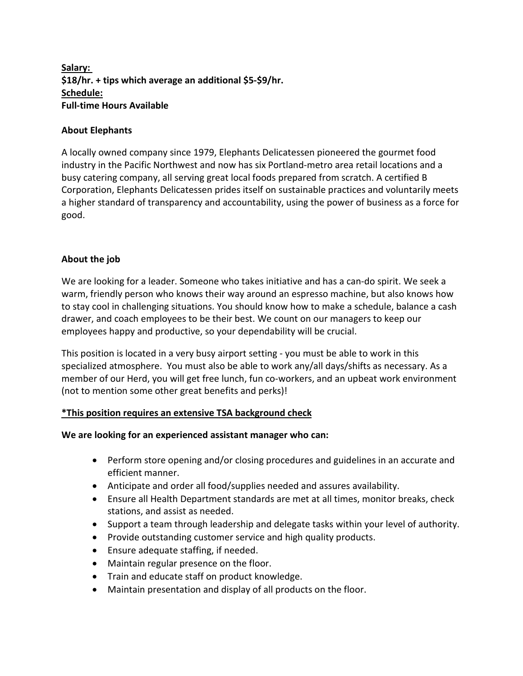# **Salary: \$18/hr. + tips which average an additional \$5-\$9/hr. Schedule: Full-time Hours Available**

### **About Elephants**

A locally owned company since 1979, Elephants Delicatessen pioneered the gourmet food industry in the Pacific Northwest and now has six Portland-metro area retail locations and a busy catering company, all serving great local foods prepared from scratch. A certified B Corporation, Elephants Delicatessen prides itself on sustainable practices and voluntarily meets a higher standard of transparency and accountability, using the power of business as a force for good.

### **About the job**

We are looking for a leader. Someone who takes initiative and has a can-do spirit. We seek a warm, friendly person who knows their way around an espresso machine, but also knows how to stay cool in challenging situations. You should know how to make a schedule, balance a cash drawer, and coach employees to be their best. We count on our managers to keep our employees happy and productive, so your dependability will be crucial.

This position is located in a very busy airport setting - you must be able to work in this specialized atmosphere. You must also be able to work any/all days/shifts as necessary. As a member of our Herd, you will get free lunch, fun co-workers, and an upbeat work environment (not to mention some other great benefits and perks)!

## **\*This position requires an extensive TSA background check**

#### **We are looking for an experienced assistant manager who can:**

- Perform store opening and/or closing procedures and guidelines in an accurate and efficient manner.
- Anticipate and order all food/supplies needed and assures availability.
- Ensure all Health Department standards are met at all times, monitor breaks, check stations, and assist as needed.
- Support a team through leadership and delegate tasks within your level of authority.
- Provide outstanding customer service and high quality products.
- Ensure adequate staffing, if needed.
- Maintain regular presence on the floor.
- Train and educate staff on product knowledge.
- Maintain presentation and display of all products on the floor.